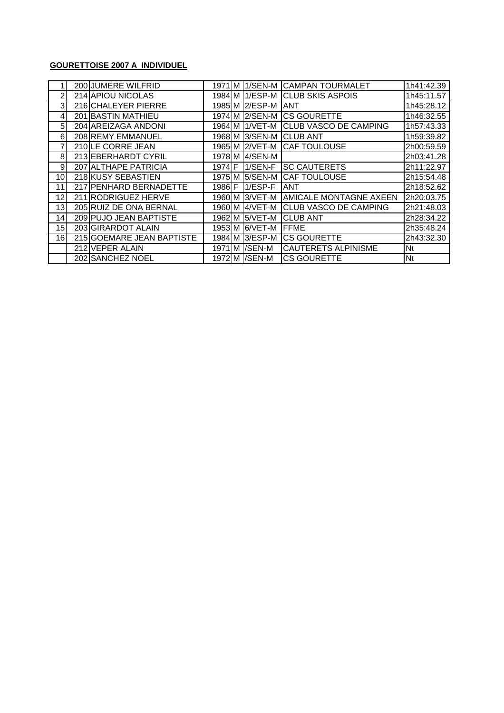#### **GOURETTOISE 2007 A INDIVIDUEL**

|                 | 200 JUMERE WILFRID        |                | 1971 M 1/SEN-M | <b>CAMPAN TOURMALET</b>       | 1h41:42.39 |
|-----------------|---------------------------|----------------|----------------|-------------------------------|------------|
| 2               | 214 APIOU NICOLAS         |                | 1984 M 1/ESP-M | <b>CLUB SKIS ASPOIS</b>       | 1h45:11.57 |
| 3               | 216 CHALEYER PIERRE       |                | 1985 M 2/ESP-M | <b>ANT</b>                    | 1h45:28.12 |
| 4               | 201 BASTIN MATHIEU        |                | 1974 M 2/SEN-M | <b>CS GOURETTE</b>            | 1h46:32.55 |
| 5               | 204 AREIZAGA ANDONI       |                | 1964 M 1/VET-M | <b>CLUB VASCO DE CAMPING</b>  | 1h57:43.33 |
| 6               | 208 REMY EMMANUEL         |                | 1968 M 3/SEN-M | <b>ICLUB ANT</b>              | 1h59:39.82 |
| 7               | 210 LE CORRE JEAN         |                | 1965 M 2/VET-M | <b>CAF TOULOUSE</b>           | 2h00:59.59 |
| 8               | 213 EBERHARDT CYRIL       |                | 1978 M 4/SEN-M |                               | 2h03:41.28 |
| 9               | 207 ALTHAPE PATRICIA      | 1974 F         | $1/SEN-F$      | <b>SC CAUTERETS</b>           | 2h11:22.97 |
| 10 <sup>1</sup> | 218 KUSY SEBASTIEN        |                | 1975 M 5/SEN-M | <b>CAF TOULOUSE</b>           | 2h15:54.48 |
| 11              | 217 PENHARD BERNADETTE    | 1986 <b>IF</b> | $1/ESP-F$      | <b>ANT</b>                    | 2h18:52.62 |
| 12              | 211 RODRIGUEZ HERVE       |                | 1960 M 3/VET-M | <b>AMICALE MONTAGNE AXEEN</b> | 2h20:03.75 |
| 13              | 205 RUIZ DE ONA BERNAL    |                | 1960 M 4/VET-M | <b>CLUB VASCO DE CAMPING</b>  | 2h21:48.03 |
| 14              | 209 PUJO JEAN BAPTISTE    |                | 1962 M 5/VET-M | <b>CLUB ANT</b>               | 2h28:34.22 |
| 15              | 203 GIRARDOT ALAIN        |                | 1953 M 6/VET-M | <b>FFME</b>                   | 2h35:48.24 |
| 16              | 215 GOEMARE JEAN BAPTISTE |                | 1984 M 3/ESP-M | <b>ICS GOURETTE</b>           | 2h43:32.30 |
|                 | 212 VEPER ALAIN           |                | 1971 M /SEN-M  | <b>CAUTERETS ALPINISME</b>    | Nt         |
|                 | 202 SANCHEZ NOEL          |                | 1972 M / SEN-M | <b>CS GOURETTE</b>            | Nt         |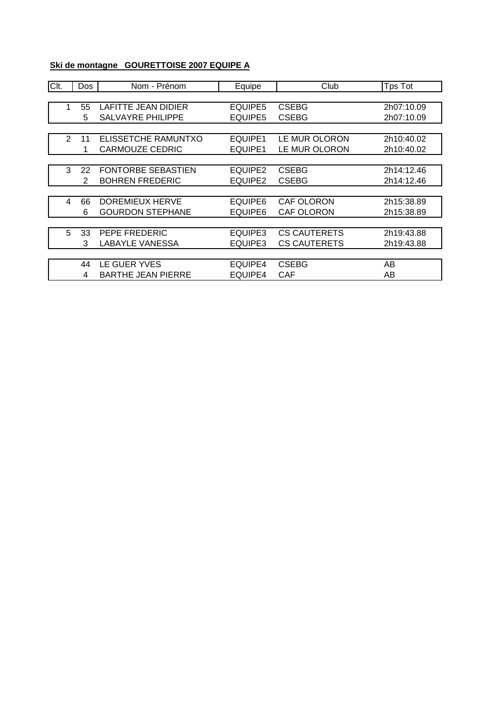### **Ski de montagne GOURETTOISE 2007 EQUIPE A**

| Clt. |                | Dos | Nom - Prénom              | Equipe  | Club                | Tps Tot    |
|------|----------------|-----|---------------------------|---------|---------------------|------------|
|      |                |     |                           |         |                     |            |
|      | 1              | 55  | LAFITTE JEAN DIDIER       | EQUIPE5 | <b>CSEBG</b>        | 2h07:10.09 |
|      |                | 5   | <b>SALVAYRE PHILIPPE</b>  | EQUIPE5 | <b>CSEBG</b>        | 2h07:10.09 |
|      |                |     |                           |         |                     |            |
|      | $\overline{2}$ | 11  | ELISSETCHE RAMUNTXO       | EQUIPE1 | LE MUR OLORON       | 2h10:40.02 |
|      |                | 1   | <b>CARMOUZE CEDRIC</b>    | EQUIPE1 | LE MUR OLORON       | 2h10:40.02 |
|      |                |     |                           |         |                     |            |
|      | 3              | 22  | FONTORBE SEBASTIEN        | EQUIPE2 | <b>CSEBG</b>        | 2h14:12.46 |
|      |                | 2   | <b>BOHREN FREDERIC</b>    | EQUIPE2 | <b>CSEBG</b>        | 2h14:12.46 |
|      |                |     |                           |         |                     |            |
|      | 4              | 66  | DOREMIEUX HERVE           | EQUIPE6 | <b>CAF OLORON</b>   | 2h15:38.89 |
|      |                | 6   | <b>GOURDON STEPHANE</b>   | EQUIPE6 | <b>CAF OLORON</b>   | 2h15:38.89 |
|      |                |     |                           |         |                     |            |
|      | 5              | 33  | PEPE FREDERIC             | EQUIPE3 | <b>CS CAUTERETS</b> | 2h19:43.88 |
|      |                | 3   | <b>LABAYLE VANESSA</b>    | EQUIPE3 | <b>CS CAUTERETS</b> | 2h19:43.88 |
|      |                |     |                           |         |                     |            |
|      |                | 44  | LE GUER YVES              | EQUIPE4 | <b>CSEBG</b>        | AB         |
|      |                | 4   | <b>BARTHE JEAN PIERRE</b> | EQUIPE4 | <b>CAF</b>          | AB         |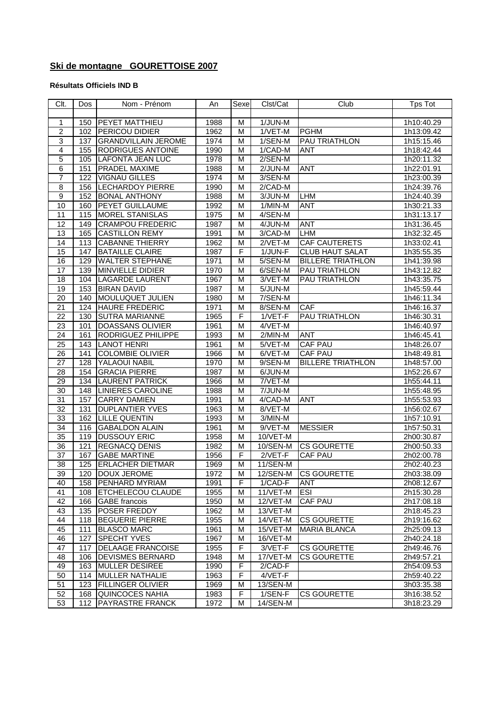## **Ski de montagne GOURETTOISE 2007**

#### **Résultats Officiels IND B**

| Clt.            | Dos | Nom - Prénom                                  | An   | Sexe | Clst/Cat             | Club                     | <b>Tps Tot</b>           |
|-----------------|-----|-----------------------------------------------|------|------|----------------------|--------------------------|--------------------------|
|                 |     |                                               |      |      |                      |                          |                          |
| 1               | 150 | <b>PEYET MATTHIEU</b>                         | 1988 | M    | 1/JUN-M              |                          | 1h10:40.29               |
| $\overline{2}$  | 102 | PERICOU DIDIER                                | 1962 | M    | $1/VET-M$            | <b>PGHM</b>              | 1h13:09.42               |
| 3               | 137 | <b>GRANDVILLAIN JEROME</b>                    | 1974 | M    | 1/SEN-M              | <b>PAU TRIATHLON</b>     | 1h15:15.46               |
| 4               | 155 | <b>RODRIGUES ANTOINE</b>                      | 1990 | M    | 1/CAD-M              | ANT                      | 1h18:42.44               |
| 5               | 105 | <b>LAFONTA JEAN LUC</b>                       | 1978 | M    | $2/$ SEN-M           |                          | 1h20:11.32               |
| 6               | 151 | PRADEL MAXIME                                 | 1988 | M    | $2/JUN-M$            | <b>ANT</b>               | 1h22:01.91               |
| $\overline{7}$  | 122 | <b>VIGNAU GILLES</b>                          | 1974 | M    | 3/SEN-M              |                          | 1h23:00.39               |
| $\overline{8}$  | 156 | <b>LECHARDOY PIERRE</b>                       | 1990 | M    | 2/CAD-M              |                          | 1h24:39.76               |
| $\overline{9}$  | 152 | <b>BONAL ANTHONY</b>                          | 1988 | M    | 3/JUN-M              | <b>LHM</b>               | 1h24:40.39               |
| 10              | 160 | PEYET GUILLAUME                               | 1992 | M    | 1/MIN-M              | <b>ANT</b>               | 1h30:21.33               |
| 11              | 115 | <b>MOREL STANISLAS</b>                        | 1975 | M    | 4/SEN-M              |                          | 1h31:13.17               |
| $\overline{12}$ | 149 | <b>CRAMPOU FREDERIC</b>                       | 1987 | M    | 4/JUN-M              | <b>ANT</b>               | 1h31:36.45               |
| $\overline{13}$ | 165 | <b>CASTILLON REMY</b>                         | 1991 | M    | 3/CAD-M              | LHM                      | 1h32:32.45               |
| 14              | 113 | <b>CABANNE THIERRY</b>                        | 1962 | M    | $2/VET-M$            | <b>CAF CAUTERETS</b>     | 1h33:02.41               |
| 15              | 147 | <b>BATAILLE CLAIRE</b>                        | 1987 | F    | 1/JUN-F              | <b>CLUB HAUT SALAT</b>   | 1h35:55.35               |
| 16              | 129 | <b>WALTER STEPHANE</b>                        | 1971 | M    | 5/SEN-M              | <b>BILLERE TRIATHLON</b> | 1h41:39.98               |
| $\overline{17}$ | 139 | MINVIELLE DIDIER                              | 1970 | M    | 6/SEN-M              | PAU TRIATHLON            | 1h43:12.82               |
| $\overline{18}$ | 104 | <b>LAGARDE LAURENT</b>                        | 1967 | M    | 3/VET-M              | <b>PAU TRIATHLON</b>     | 1h43:35.75               |
| 19              | 153 | <b>BIRAN DAVID</b>                            | 1987 | M    | 5/JUN-M              |                          | 1h45:59.44               |
| $\overline{20}$ | 140 | MOULUQUET JULIEN                              | 1980 | M    | 7/SEN-M              |                          | 1h46:11.34               |
| 21              | 124 | <b>HAURE FREDERIC</b>                         | 1971 | M    | 8/SEN-M              | <b>CAF</b>               | 1h46:16.37               |
| $\overline{22}$ | 130 | <b>SUTRA MARIANNE</b>                         |      | F    | $1/VET-F$            | PAU TRIATHLON            |                          |
| $\overline{23}$ |     |                                               | 1965 | M    |                      |                          | 1h46:30.31<br>1h46:40.97 |
|                 | 101 | DOASSANS OLIVIER<br><b>RODRIGUEZ PHILIPPE</b> | 1961 |      | 4/VET-M              |                          |                          |
| $\overline{24}$ | 161 |                                               | 1993 | M    | $2/MIN-M$            | <b>ANT</b>               | 1h46:45.41               |
| $\overline{25}$ | 143 | <b>LANOT HENRI</b>                            | 1961 | M    | 5/VET-M              | <b>CAF PAU</b>           | 1h48:26.07               |
| 26              | 141 | <b>COLOMBIE OLIVIER</b>                       | 1966 | м    | 6/VET-M              | <b>CAF PAU</b>           | 1h48:49.81               |
| $\overline{27}$ | 128 | YALAOUI NABIL                                 | 1970 | M    | 9/SEN-M              | <b>BILLERE TRIATHLON</b> | 1h48:57.00               |
| 28              | 154 | <b>GRACIA PIERRE</b>                          | 1987 | M    | $\overline{6}/JUN-M$ |                          | 1h52:26.67               |
| 29              | 134 | <b>LAURENT PATRICK</b>                        | 1966 | M    | 7/VET-M              |                          | 1h55:44.11               |
| $\overline{30}$ | 148 | <b>LINIERES CAROLINE</b>                      | 1988 | M    | 7/JUN-M              |                          | 1h55:48.95               |
| $\overline{31}$ | 157 | <b>CARRY DAMIEN</b>                           | 1991 | M    | 4/CAD-M              | <b>ANT</b>               | 1h55:53.93               |
| 32              | 131 | <b>DUPLANTIER YVES</b>                        | 1963 | M    | 8/VET-M              |                          | 1h56:02.67               |
| 33              | 162 | LILLE QUENTIN                                 | 1993 | M    | $3/MIN-M$            |                          | 1h57:10.91               |
| 34              | 116 | <b>GABALDON ALAIN</b>                         | 1961 | M    | 9/VET-M              | <b>MESSIER</b>           | 1h57:50.31               |
| 35              | 119 | <b>DUSSOUY ERIC</b>                           | 1958 | M    | 10/VET-M             |                          | 2h00:30.87               |
| 36              | 121 | <b>REGNACQ DENIS</b>                          | 1982 | M    | $10/SEM$ -M          | <b>CS GOURETTE</b>       | 2h00:50.33               |
| $\overline{37}$ | 167 | <b>GABE MARTINE</b>                           | 1956 | F    | 2/VET-F              | <b>CAF PAU</b>           | 2h02:00.78               |
| $\overline{38}$ | 125 | <b>ERLACHER DIETMAR</b>                       | 1969 | M    | $11/SEN-M$           |                          | 2h02:40.23               |
| 39              | 120 | <b>DOUX JEROME</b>                            | 1972 | M    | 12/SEN-M             | <b>CS GOURETTE</b>       | 2h03:38.09               |
| 40              |     | 158 PENHARD MYRIAM                            | 1991 | F.   | 1/CAD-F              | <b>ANT</b>               | 2h08:12.67               |
| 41              | 108 | <b>ETCHELECOU CLAUDE</b>                      | 1955 | M    | 11/VET-M             | <b>ESI</b>               | 2h15:30.28               |
| 42              | 166 | <b>GABE</b> francois                          | 1950 | M    | $12/VET-M$           | <b>CAF PAU</b>           | 2h17:08.18               |
| 43              | 135 | <b>POSER FREDDY</b>                           | 1962 | M    | 13/VET-M             |                          | 2h18:45.23               |
| 44              | 118 | <b>BEGUERIE PIERRE</b>                        | 1955 | M    | 14/VET-M             | <b>CS GOURETTE</b>       | 2h19:16.62               |
| 45              | 111 | <b>BLASCO MARC</b>                            | 1961 | M    | 15/VET-M             | <b>MARIA BLANCA</b>      | 2h25:09.13               |
| 46              | 127 | <b>SPECHT YVES</b>                            | 1967 | M    | 16/VET-M             |                          | 2h40:24.18               |
| 47              | 117 | <b>DELAAGE FRANCOISE</b>                      | 1955 | F    | 3/VET-F              | <b>CS GOURETTE</b>       | 2h49:46.76               |
| 48              | 106 | DEVISMES BERNARD                              | 1948 | M    | 17/VET-M             | <b>CS GOURETTE</b>       | 2h49:57.21               |
| 49              | 163 | <b>MULLER DESIREE</b>                         | 1990 | F    | 2/CAD-F              |                          | 2h54:09.53               |
| 50              | 114 | <b>MULLER NATHALIE</b>                        | 1963 | F    | 4/VET-F              |                          | 2h59:40.22               |
| 51              | 123 | <b>FILLINGER OLIVIER</b>                      | 1969 | M    | 13/SEN-M             |                          | 3h03:35.38               |
| 52              | 168 | <b>QUINCOCES NAHIA</b>                        | 1983 | F    | 1/SEN-F              | <b>CS GOURETTE</b>       | 3h16:38.52               |
| 53              | 112 | PAYRASTRE FRANCK                              | 1972 | м    | 14/SEN-M             |                          | 3h18:23.29               |